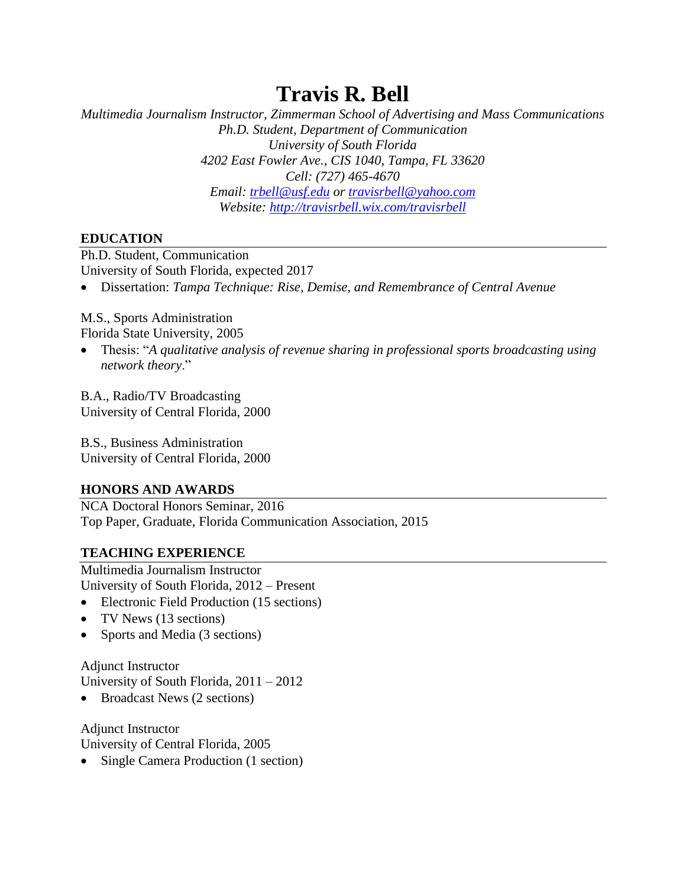# **Travis R. Bell**

*Multimedia Journalism Instructor, Zimmerman School of Advertising and Mass Communications Ph.D. Student, Department of Communication University of South Florida 4202 East Fowler Ave., CIS 1040, Tampa, FL 33620 Cell: (727) 465-4670 Email: [trbell@usf.edu](mailto:trbell@usf.edu) or [travisrbell@yahoo.com](mailto:travisrbell@yahoo.com) Website:<http://travisrbell.wix.com/travisrbell>*

## **EDUCATION**

Ph.D. Student, Communication University of South Florida, expected 2017

Dissertation: *Tampa Technique: Rise, Demise, and Remembrance of Central Avenue*

# M.S., Sports Administration

Florida State University, 2005

 Thesis: "*A qualitative analysis of revenue sharing in professional sports broadcasting using network theory*."

B.A., Radio/TV Broadcasting University of Central Florida, 2000

B.S., Business Administration University of Central Florida, 2000

# **HONORS AND AWARDS**

NCA Doctoral Honors Seminar, 2016 Top Paper, Graduate, Florida Communication Association, 2015

# **TEACHING EXPERIENCE**

Multimedia Journalism Instructor University of South Florida, 2012 – Present

- Electronic Field Production (15 sections)
- TV News (13 sections)
- Sports and Media (3 sections)

Adjunct Instructor University of South Florida, 2011 – 2012

• Broadcast News (2 sections)

Adjunct Instructor University of Central Florida, 2005

• Single Camera Production (1 section)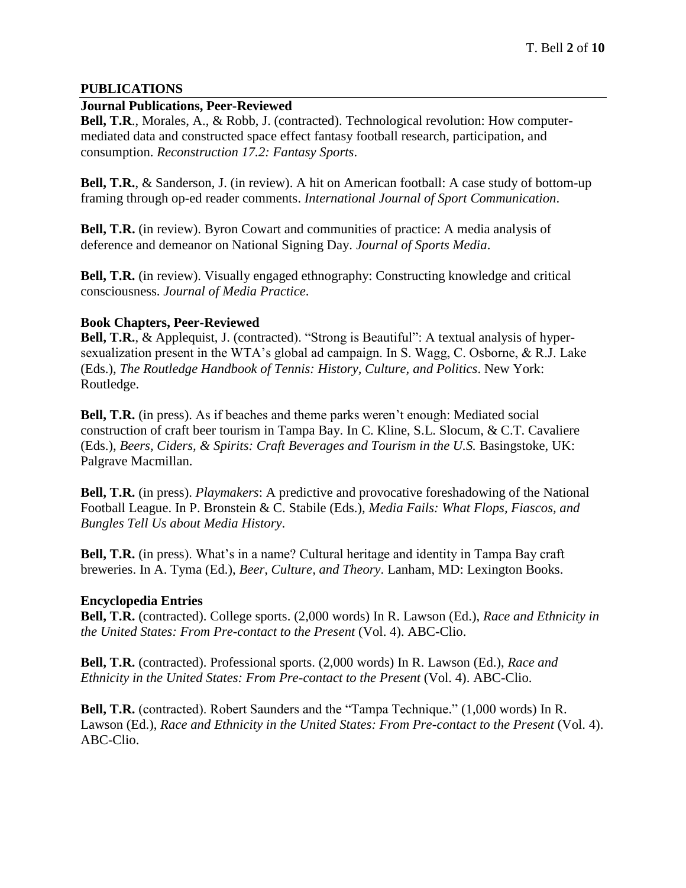#### **PUBLICATIONS**

#### **Journal Publications, Peer-Reviewed**

**Bell, T.R**., Morales, A., & Robb, J. (contracted). Technological revolution: How computermediated data and constructed space effect fantasy football research, participation, and consumption. *Reconstruction 17.2: Fantasy Sports*.

**Bell, T.R.**, & Sanderson, J. (in review). A hit on American football: A case study of bottom-up framing through op-ed reader comments. *International Journal of Sport Communication*.

**Bell, T.R.** (in review). Byron Cowart and communities of practice: A media analysis of deference and demeanor on National Signing Day. *Journal of Sports Media*.

**Bell, T.R.** (in review). Visually engaged ethnography: Constructing knowledge and critical consciousness. *Journal of Media Practice*.

#### **Book Chapters, Peer-Reviewed**

**Bell, T.R.**, & Applequist, J. (contracted). "Strong is Beautiful": A textual analysis of hypersexualization present in the WTA's global ad campaign. In S. Wagg, C. Osborne, & R.J. Lake (Eds.), *The Routledge Handbook of Tennis: History, Culture, and Politics*. New York: Routledge.

**Bell, T.R.** (in press). As if beaches and theme parks weren't enough: Mediated social construction of craft beer tourism in Tampa Bay. In C. Kline, S.L. Slocum, & C.T. Cavaliere (Eds.), *Beers, Ciders, & Spirits: Craft Beverages and Tourism in the U.S.* Basingstoke, UK: Palgrave Macmillan.

**Bell, T.R.** (in press). *Playmakers*: A predictive and provocative foreshadowing of the National Football League. In P. Bronstein & C. Stabile (Eds.), *Media Fails: What Flops, Fiascos, and Bungles Tell Us about Media History*.

**Bell, T.R.** (in press). What's in a name? Cultural heritage and identity in Tampa Bay craft breweries. In A. Tyma (Ed.), *Beer, Culture, and Theory*. Lanham, MD: Lexington Books.

## **Encyclopedia Entries**

**Bell, T.R.** (contracted). College sports. (2,000 words) In R. Lawson (Ed.), *Race and Ethnicity in the United States: From Pre-contact to the Present* (Vol. 4). ABC-Clio.

**Bell, T.R.** (contracted). Professional sports. (2,000 words) In R. Lawson (Ed.), *Race and Ethnicity in the United States: From Pre-contact to the Present (Vol. 4). ABC-Clio.* 

**Bell, T.R.** (contracted). Robert Saunders and the "Tampa Technique." (1,000 words) In R. Lawson (Ed.), *Race and Ethnicity in the United States: From Pre-contact to the Present* (Vol. 4). ABC-Clio.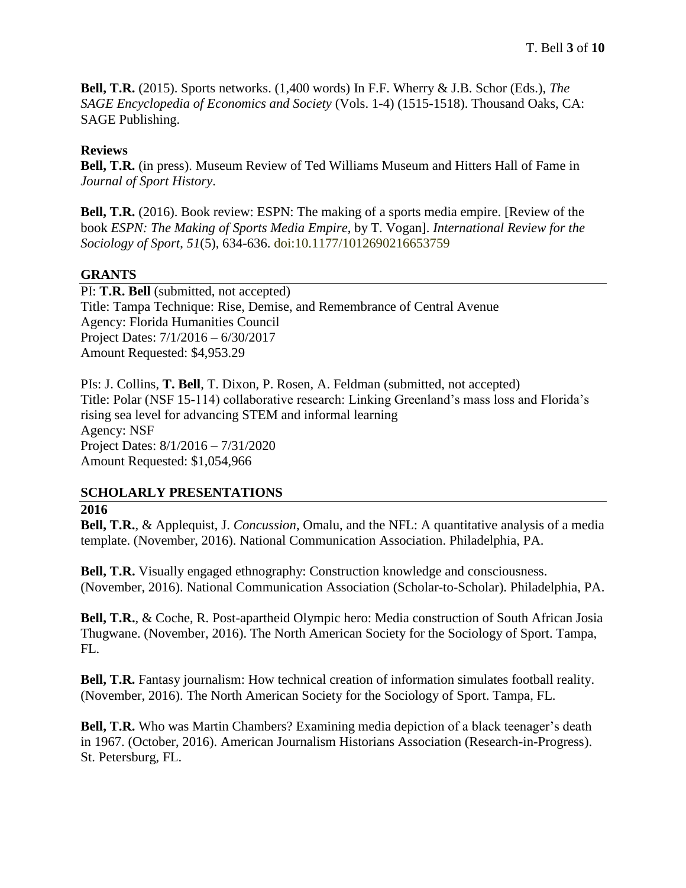**Bell, T.R.** (2015). Sports networks. (1,400 words) In F.F. Wherry & J.B. Schor (Eds.), *The SAGE Encyclopedia of Economics and Society* (Vols. 1-4) (1515-1518). Thousand Oaks, CA: SAGE Publishing.

#### **Reviews**

**Bell, T.R.** (in press). Museum Review of Ted Williams Museum and Hitters Hall of Fame in *Journal of Sport History*.

**Bell, T.R.** (2016). Book review: ESPN: The making of a sports media empire. [Review of the book *ESPN: The Making of Sports Media Empire*, by T. Vogan]. *International Review for the Sociology of Sport*, *51*(5), 634-636. doi:10.1177/1012690216653759

#### **GRANTS**

PI: **T.R. Bell** (submitted, not accepted) Title: Tampa Technique: Rise, Demise, and Remembrance of Central Avenue Agency: Florida Humanities Council Project Dates: 7/1/2016 – 6/30/2017 Amount Requested: \$4,953.29

PIs: J. Collins, **T. Bell**, T. Dixon, P. Rosen, A. Feldman (submitted, not accepted) Title: Polar (NSF 15-114) collaborative research: Linking Greenland's mass loss and Florida's rising sea level for advancing STEM and informal learning Agency: NSF Project Dates: 8/1/2016 – 7/31/2020 Amount Requested: \$1,054,966

#### **SCHOLARLY PRESENTATIONS**

#### **2016**

**Bell, T.R.**, & Applequist, J. *Concussion*, Omalu, and the NFL: A quantitative analysis of a media template. (November, 2016). National Communication Association. Philadelphia, PA.

**Bell, T.R.** Visually engaged ethnography: Construction knowledge and consciousness. (November, 2016). National Communication Association (Scholar-to-Scholar). Philadelphia, PA.

**Bell, T.R.**, & Coche, R. Post-apartheid Olympic hero: Media construction of South African Josia Thugwane. (November, 2016). The North American Society for the Sociology of Sport. Tampa, FL.

**Bell, T.R.** Fantasy journalism: How technical creation of information simulates football reality. (November, 2016). The North American Society for the Sociology of Sport. Tampa, FL.

**Bell, T.R.** Who was Martin Chambers? Examining media depiction of a black teenager's death in 1967. (October, 2016). American Journalism Historians Association (Research-in-Progress). St. Petersburg, FL.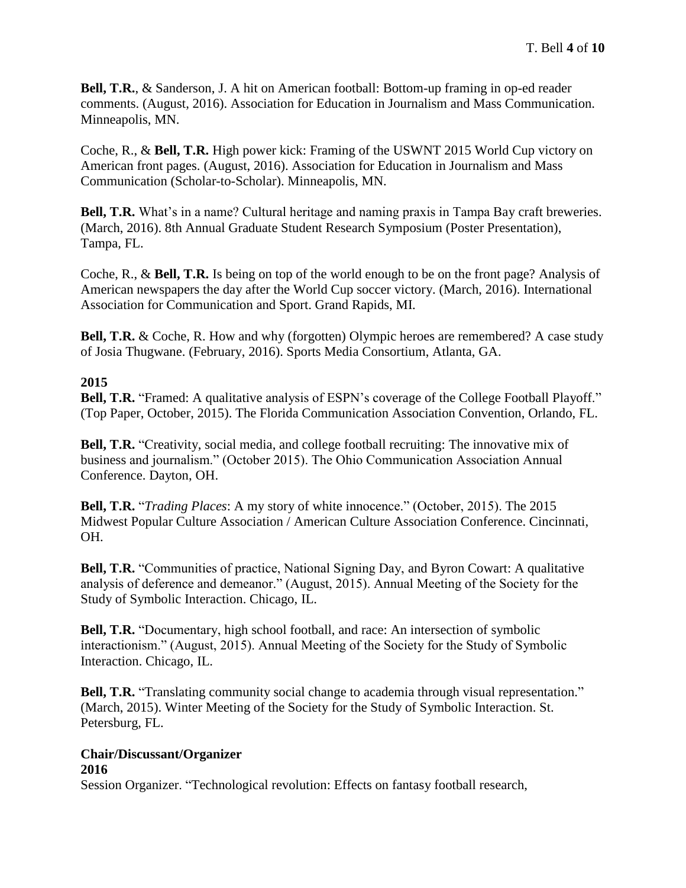**Bell, T.R.**, & Sanderson, J. A hit on American football: Bottom-up framing in op-ed reader comments. (August, 2016). Association for Education in Journalism and Mass Communication. Minneapolis, MN.

Coche, R., & **Bell, T.R.** High power kick: Framing of the USWNT 2015 World Cup victory on American front pages. (August, 2016). Association for Education in Journalism and Mass Communication (Scholar-to-Scholar). Minneapolis, MN.

**Bell, T.R.** What's in a name? Cultural heritage and naming praxis in Tampa Bay craft breweries. (March, 2016). 8th Annual Graduate Student Research Symposium (Poster Presentation), Tampa, FL.

Coche, R., & **Bell, T.R.** Is being on top of the world enough to be on the front page? Analysis of American newspapers the day after the World Cup soccer victory. (March, 2016). International Association for Communication and Sport. Grand Rapids, MI.

**Bell, T.R.** & Coche, R. How and why (forgotten) Olympic heroes are remembered? A case study of Josia Thugwane. (February, 2016). Sports Media Consortium, Atlanta, GA.

# **2015**

**Bell, T.R.** "Framed: A qualitative analysis of ESPN's coverage of the College Football Playoff." (Top Paper, October, 2015). The Florida Communication Association Convention, Orlando, FL.

**Bell, T.R.** "Creativity, social media, and college football recruiting: The innovative mix of business and journalism." (October 2015). The Ohio Communication Association Annual Conference. Dayton, OH.

**Bell, T.R.** "*Trading Places*: A my story of white innocence." (October, 2015). The 2015 Midwest Popular Culture Association / American Culture Association Conference. Cincinnati, OH.

**Bell, T.R.** "Communities of practice, National Signing Day, and Byron Cowart: A qualitative analysis of deference and demeanor." (August, 2015). Annual Meeting of the Society for the Study of Symbolic Interaction. Chicago, IL.

**Bell, T.R.** "Documentary, high school football, and race: An intersection of symbolic interactionism." (August, 2015). Annual Meeting of the Society for the Study of Symbolic Interaction. Chicago, IL.

**Bell, T.R.** "Translating community social change to academia through visual representation." (March, 2015). Winter Meeting of the Society for the Study of Symbolic Interaction. St. Petersburg, FL.

#### **Chair/Discussant/Organizer 2016**

Session Organizer. "Technological revolution: Effects on fantasy football research,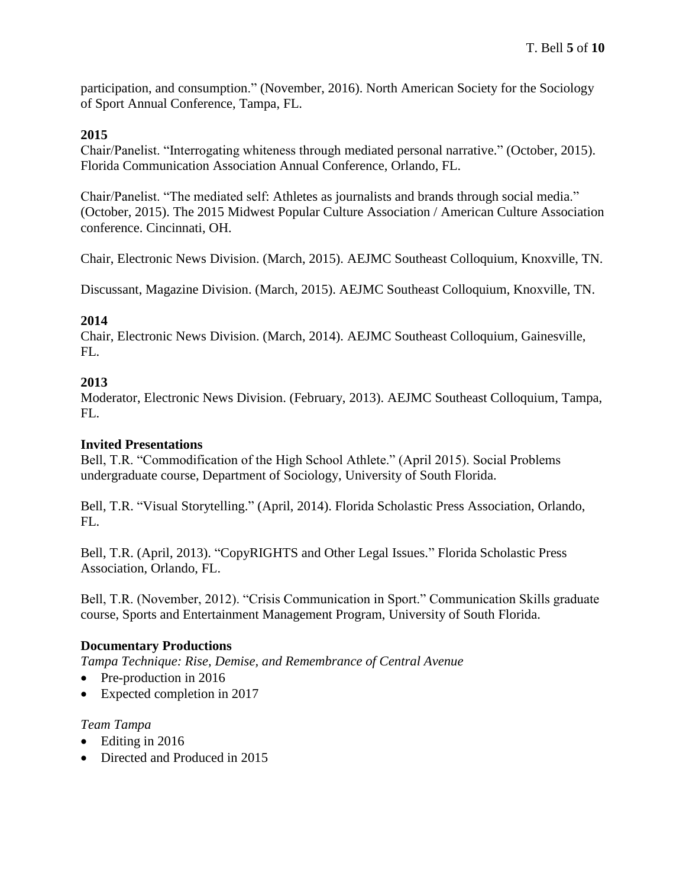participation, and consumption." (November, 2016). North American Society for the Sociology of Sport Annual Conference, Tampa, FL.

## **2015**

Chair/Panelist. "Interrogating whiteness through mediated personal narrative." (October, 2015). Florida Communication Association Annual Conference, Orlando, FL.

Chair/Panelist. "The mediated self: Athletes as journalists and brands through social media." (October, 2015). The 2015 Midwest Popular Culture Association / American Culture Association conference. Cincinnati, OH.

Chair, Electronic News Division. (March, 2015). AEJMC Southeast Colloquium, Knoxville, TN.

Discussant, Magazine Division. (March, 2015). AEJMC Southeast Colloquium, Knoxville, TN.

## **2014**

Chair, Electronic News Division. (March, 2014). AEJMC Southeast Colloquium, Gainesville, FL.

# **2013**

Moderator, Electronic News Division. (February, 2013). AEJMC Southeast Colloquium, Tampa, FL.

# **Invited Presentations**

Bell, T.R. "Commodification of the High School Athlete." (April 2015). Social Problems undergraduate course, Department of Sociology, University of South Florida.

Bell, T.R. "Visual Storytelling." (April, 2014). Florida Scholastic Press Association, Orlando, FL.

Bell, T.R. (April, 2013). "CopyRIGHTS and Other Legal Issues." Florida Scholastic Press Association, Orlando, FL.

Bell, T.R. (November, 2012). "Crisis Communication in Sport." Communication Skills graduate course, Sports and Entertainment Management Program, University of South Florida.

# **Documentary Productions**

*Tampa Technique: Rise, Demise, and Remembrance of Central Avenue*

- Pre-production in 2016
- Expected completion in 2017

## *Team Tampa*

- Editing in 2016
- Directed and Produced in 2015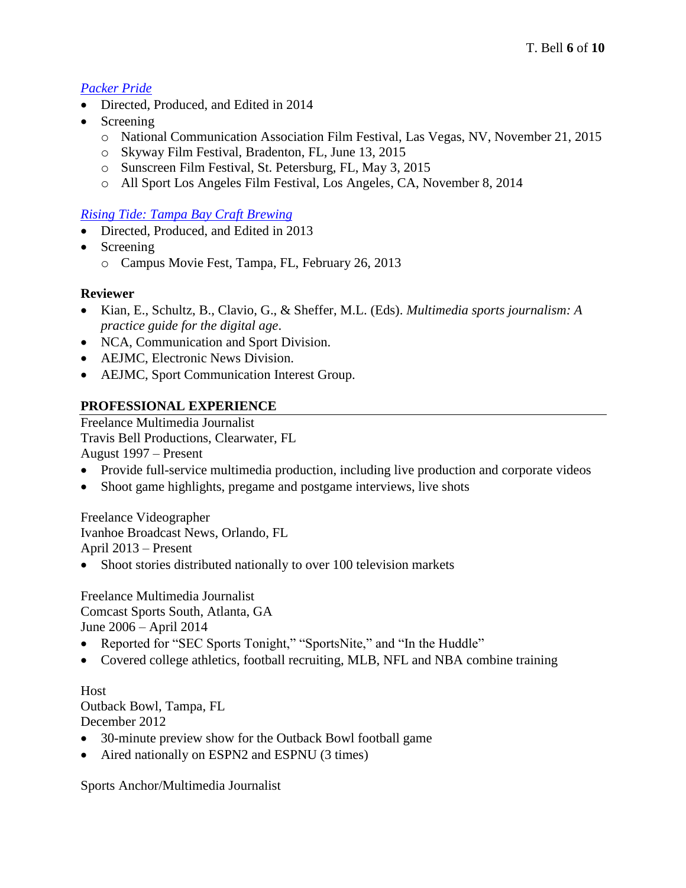# *[Packer Pride](https://www.youtube.com/watch?v=N8UrENj_n9o)*

- Directed, Produced, and Edited in 2014
- Screening
	- o National Communication Association Film Festival, Las Vegas, NV, November 21, 2015
	- o Skyway Film Festival, Bradenton, FL, June 13, 2015
	- o Sunscreen Film Festival, St. Petersburg, FL, May 3, 2015
	- o All Sport Los Angeles Film Festival, Los Angeles, CA, November 8, 2014

#### *[Rising Tide: Tampa Bay Craft Brewing](http://www.campusmoviefest.com/movies/19738-rising-tide-tampa-bay-craft-brewing)*

- Directed, Produced, and Edited in 2013
- Screening
	- o Campus Movie Fest, Tampa, FL, February 26, 2013

#### **Reviewer**

- Kian, E., Schultz, B., Clavio, G., & Sheffer, M.L. (Eds). *Multimedia sports journalism: A practice guide for the digital age*.
- NCA, Communication and Sport Division.
- AEJMC, Electronic News Division.
- AEJMC, Sport Communication Interest Group.

## **PROFESSIONAL EXPERIENCE**

Freelance Multimedia Journalist Travis Bell Productions, Clearwater, FL

August 1997 – Present

- Provide full-service multimedia production, including live production and corporate videos
- Shoot game highlights, pregame and postgame interviews, live shots

Freelance Videographer Ivanhoe Broadcast News, Orlando, FL April 2013 – Present

• Shoot stories distributed nationally to over 100 television markets

Freelance Multimedia Journalist Comcast Sports South, Atlanta, GA

June 2006 – April 2014

- Reported for "SEC Sports Tonight," "SportsNite," and "In the Huddle"
- Covered college athletics, football recruiting, MLB, NFL and NBA combine training

Host Outback Bowl, Tampa, FL December 2012

- 30-minute preview show for the Outback Bowl football game
- Aired nationally on ESPN2 and ESPNU (3 times)

Sports Anchor/Multimedia Journalist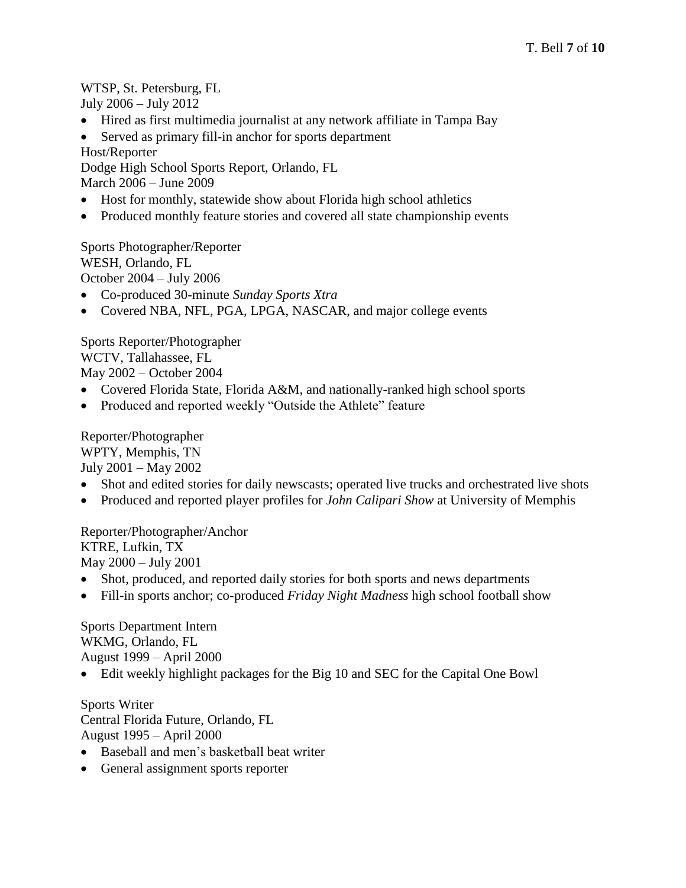## WTSP, St. Petersburg, FL

July 2006 – July 2012

Hired as first multimedia journalist at any network affiliate in Tampa Bay

• Served as primary fill-in anchor for sports department

Host/Reporter

Dodge High School Sports Report, Orlando, FL

March 2006 – June 2009

- Host for monthly, statewide show about Florida high school athletics
- Produced monthly feature stories and covered all state championship events

Sports Photographer/Reporter WESH, Orlando, FL October 2004 – July 2006

- Co-produced 30-minute *Sunday Sports Xtra*
- Covered NBA, NFL, PGA, LPGA, NASCAR, and major college events

Sports Reporter/Photographer WCTV, Tallahassee, FL May 2002 – October 2004

- Covered Florida State, Florida A&M, and nationally-ranked high school sports
- Produced and reported weekly "Outside the Athlete" feature

Reporter/Photographer WPTY, Memphis, TN July 2001 – May 2002

- Shot and edited stories for daily newscasts; operated live trucks and orchestrated live shots
- Produced and reported player profiles for *John Calipari Show* at University of Memphis

Reporter/Photographer/Anchor KTRE, Lufkin, TX May 2000 – July 2001

- Shot, produced, and reported daily stories for both sports and news departments
- Fill-in sports anchor; co-produced *Friday Night Madness* high school football show

Sports Department Intern WKMG, Orlando, FL August 1999 – April 2000

Edit weekly highlight packages for the Big 10 and SEC for the Capital One Bowl

Sports Writer Central Florida Future, Orlando, FL August 1995 – April 2000

- Baseball and men's basketball beat writer
- General assignment sports reporter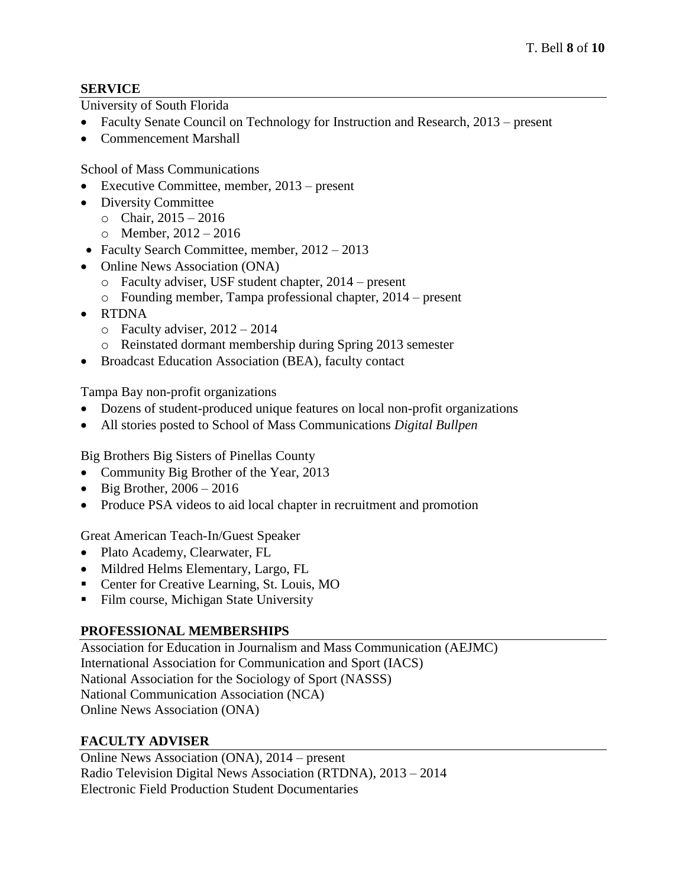## **SERVICE**

University of South Florida

- Faculty Senate Council on Technology for Instruction and Research, 2013 present
- Commencement Marshall

School of Mass Communications

- Executive Committee, member, 2013 present
- Diversity Committee
	- $\circ$  Chair, 2015 2016
		- o Member, 2012 2016
- Faculty Search Committee, member,  $2012 2013$
- Online News Association (ONA)
	- o Faculty adviser, USF student chapter, 2014 present
	- o Founding member, Tampa professional chapter, 2014 present
- RTDNA
	- $\circ$  Faculty adviser, 2012 2014
	- o Reinstated dormant membership during Spring 2013 semester
- Broadcast Education Association (BEA), faculty contact

Tampa Bay non-profit organizations

- Dozens of student-produced unique features on local non-profit organizations
- All stories posted to School of Mass Communications *Digital Bullpen*

Big Brothers Big Sisters of Pinellas County

- Community Big Brother of the Year, 2013
- $\bullet$  Big Brother, 2006 2016
- Produce PSA videos to aid local chapter in recruitment and promotion

Great American Teach-In/Guest Speaker

- Plato Academy, Clearwater, FL
- Mildred Helms Elementary, Largo, FL
- Center for Creative Learning, St. Louis, MO
- Film course, Michigan State University

# **PROFESSIONAL MEMBERSHIPS**

Association for Education in Journalism and Mass Communication (AEJMC) International Association for Communication and Sport (IACS) National Association for the Sociology of Sport (NASSS) National Communication Association (NCA) Online News Association (ONA)

# **FACULTY ADVISER**

Online News Association (ONA), 2014 – present Radio Television Digital News Association (RTDNA), 2013 – 2014 Electronic Field Production Student Documentaries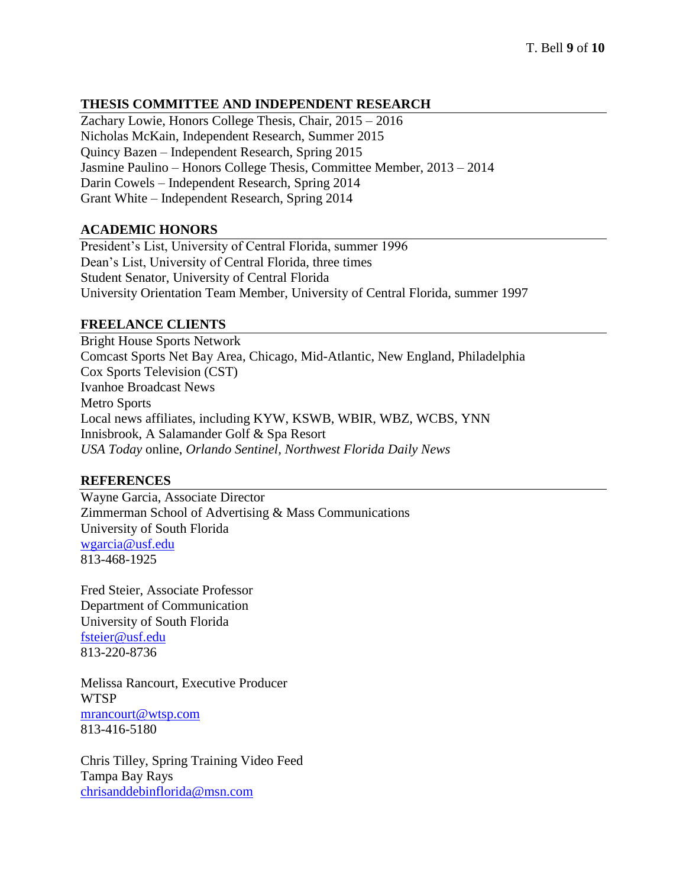## **THESIS COMMITTEE AND INDEPENDENT RESEARCH**

Zachary Lowie, Honors College Thesis, Chair, 2015 – 2016 Nicholas McKain, Independent Research, Summer 2015 Quincy Bazen – Independent Research, Spring 2015 Jasmine Paulino – Honors College Thesis, Committee Member, 2013 – 2014 Darin Cowels – Independent Research, Spring 2014 Grant White – Independent Research, Spring 2014

#### **ACADEMIC HONORS**

President's List, University of Central Florida, summer 1996 Dean's List, University of Central Florida, three times Student Senator, University of Central Florida University Orientation Team Member, University of Central Florida, summer 1997

## **FREELANCE CLIENTS**

Bright House Sports Network Comcast Sports Net Bay Area, Chicago, Mid-Atlantic, New England, Philadelphia Cox Sports Television (CST) Ivanhoe Broadcast News Metro Sports Local news affiliates, including KYW, KSWB, WBIR, WBZ, WCBS, YNN Innisbrook, A Salamander Golf & Spa Resort *USA Today* online, *Orlando Sentinel, Northwest Florida Daily News*

## **REFERENCES**

Wayne Garcia, Associate Director Zimmerman School of Advertising & Mass Communications University of South Florida [wgarcia@usf.edu](mailto:wgarcia@usf.edu) 813-468-1925

Fred Steier, Associate Professor Department of Communication University of South Florida [fsteier@usf.edu](mailto:fsteier@usf.edu) 813-220-8736

Melissa Rancourt, Executive Producer WTSP [mrancourt@wtsp.com](mailto:mrancourt@wtsp.com) 813-416-5180

Chris Tilley, Spring Training Video Feed Tampa Bay Rays [chrisanddebinflorida@msn.com](mailto:chrisanddebinflorida@msn.com)